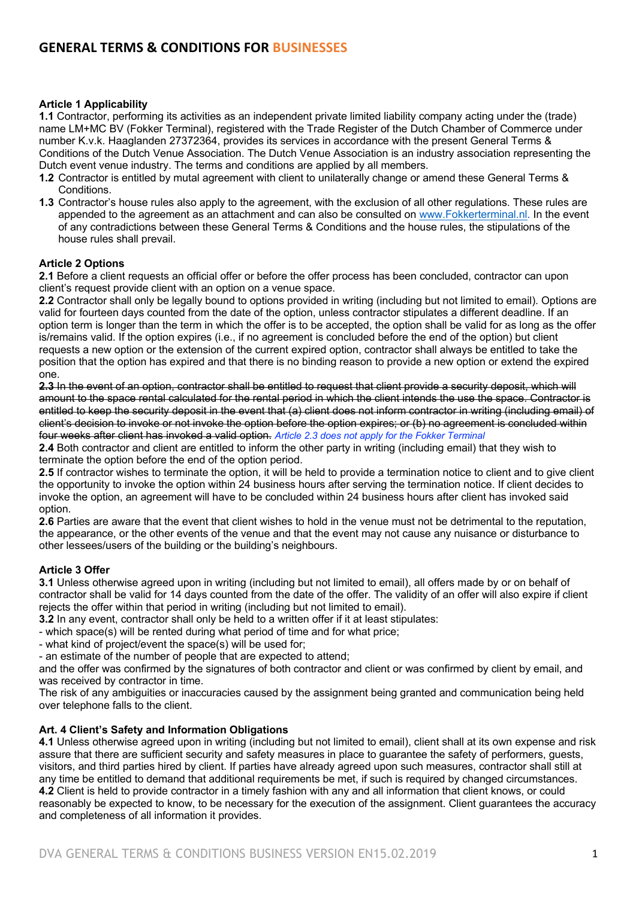# **Article 1 Applicability**

**1.1** Contractor, performing its activities as an independent private limited liability company acting under the (trade) name LM+MC BV (Fokker Terminal), registered with the Trade Register of the Dutch Chamber of Commerce under number K.v.k. Haaglanden 27372364, provides its services in accordance with the present General Terms & Conditions of the Dutch Venue Association. The Dutch Venue Association is an industry association representing the Dutch event venue industry. The terms and conditions are applied by all members.

- **1.2** Contractor is entitled by mutal agreement with client to unilaterally change or amend these General Terms & **Conditions**
- **1.3** Contractor's house rules also apply to the agreement, with the exclusion of all other regulations. These rules are appended to the agreement as an attachment and can also be consulted on www.Fokkerterminal.nl. In the event of any contradictions between these General Terms & Conditions and the house rules, the stipulations of the house rules shall prevail.

# **Article 2 Options**

**2.1** Before a client requests an official offer or before the offer process has been concluded, contractor can upon client's request provide client with an option on a venue space.

**2.2** Contractor shall only be legally bound to options provided in writing (including but not limited to email). Options are valid for fourteen days counted from the date of the option, unless contractor stipulates a different deadline. If an option term is longer than the term in which the offer is to be accepted, the option shall be valid for as long as the offer is/remains valid. If the option expires (i.e., if no agreement is concluded before the end of the option) but client requests a new option or the extension of the current expired option, contractor shall always be entitled to take the position that the option has expired and that there is no binding reason to provide a new option or extend the expired one.

**2.3** In the event of an option, contractor shall be entitled to request that client provide a security deposit, which will amount to the space rental calculated for the rental period in which the client intends the use the space. Contractor is entitled to keep the security deposit in the event that (a) client does not inform contractor in writing (including email) of client's decision to invoke or not invoke the option before the option expires; or (b) no agreement is concluded within four weeks after client has invoked a valid option. *Article 2.3 does not apply for the Fokker Terminal*

**2.4** Both contractor and client are entitled to inform the other party in writing (including email) that they wish to terminate the option before the end of the option period.

**2.5** If contractor wishes to terminate the option, it will be held to provide a termination notice to client and to give client the opportunity to invoke the option within 24 business hours after serving the termination notice. If client decides to invoke the option, an agreement will have to be concluded within 24 business hours after client has invoked said option.

**2.6** Parties are aware that the event that client wishes to hold in the venue must not be detrimental to the reputation, the appearance, or the other events of the venue and that the event may not cause any nuisance or disturbance to other lessees/users of the building or the building's neighbours.

# **Article 3 Offer**

**3.1** Unless otherwise agreed upon in writing (including but not limited to email), all offers made by or on behalf of contractor shall be valid for 14 days counted from the date of the offer. The validity of an offer will also expire if client rejects the offer within that period in writing (including but not limited to email).

**3.2** In any event, contractor shall only be held to a written offer if it at least stipulates:

- which space(s) will be rented during what period of time and for what price;

- what kind of project/event the space(s) will be used for;

- an estimate of the number of people that are expected to attend;

and the offer was confirmed by the signatures of both contractor and client or was confirmed by client by email, and was received by contractor in time.

The risk of any ambiguities or inaccuracies caused by the assignment being granted and communication being held over telephone falls to the client.

### **Art. 4 Client's Safety and Information Obligations**

**4.1** Unless otherwise agreed upon in writing (including but not limited to email), client shall at its own expense and risk assure that there are sufficient security and safety measures in place to guarantee the safety of performers, guests, visitors, and third parties hired by client. If parties have already agreed upon such measures, contractor shall still at any time be entitled to demand that additional requirements be met, if such is required by changed circumstances. **4.2** Client is held to provide contractor in a timely fashion with any and all information that client knows, or could reasonably be expected to know, to be necessary for the execution of the assignment. Client guarantees the accuracy and completeness of all information it provides.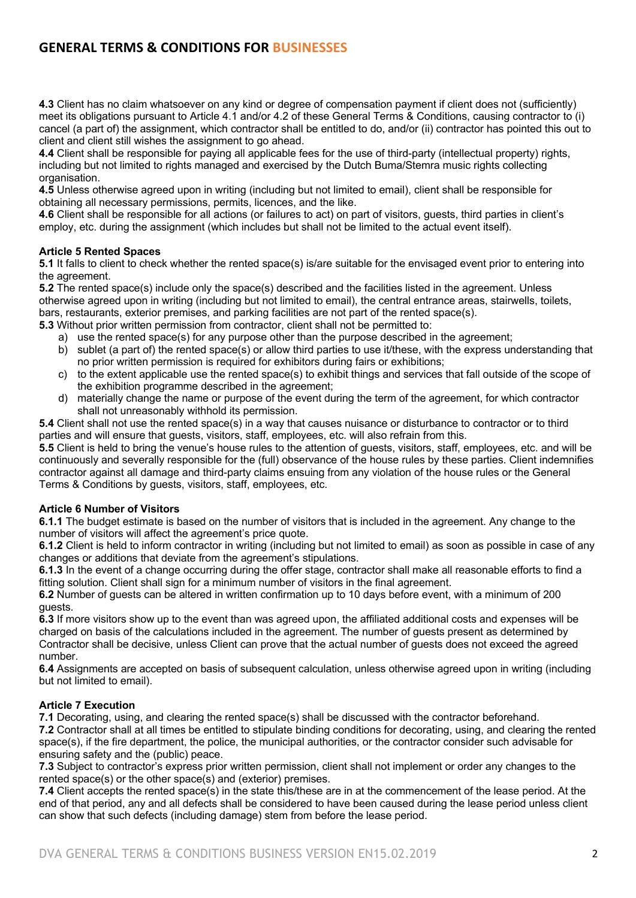# **GENERAL TERMS & CONDITIONS FOR BUSINESSES**

**4.3** Client has no claim whatsoever on any kind or degree of compensation payment if client does not (sufficiently) meet its obligations pursuant to Article 4.1 and/or 4.2 of these General Terms & Conditions, causing contractor to (i) cancel (a part of) the assignment, which contractor shall be entitled to do, and/or (ii) contractor has pointed this out to client and client still wishes the assignment to go ahead.

**4.4** Client shall be responsible for paying all applicable fees for the use of third-party (intellectual property) rights, including but not limited to rights managed and exercised by the Dutch Buma/Stemra music rights collecting organisation.

**4.5** Unless otherwise agreed upon in writing (including but not limited to email), client shall be responsible for obtaining all necessary permissions, permits, licences, and the like.

**4.6** Client shall be responsible for all actions (or failures to act) on part of visitors, guests, third parties in client's employ, etc. during the assignment (which includes but shall not be limited to the actual event itself).

# **Article 5 Rented Spaces**

**5.1** It falls to client to check whether the rented space(s) is/are suitable for the envisaged event prior to entering into the agreement.

**5.2** The rented space(s) include only the space(s) described and the facilities listed in the agreement. Unless otherwise agreed upon in writing (including but not limited to email), the central entrance areas, stairwells, toilets, bars, restaurants, exterior premises, and parking facilities are not part of the rented space(s).

**5.3** Without prior written permission from contractor, client shall not be permitted to:

- a) use the rented space(s) for any purpose other than the purpose described in the agreement;
- b) sublet (a part of) the rented space(s) or allow third parties to use it/these, with the express understanding that no prior written permission is required for exhibitors during fairs or exhibitions;
- c) to the extent applicable use the rented space(s) to exhibit things and services that fall outside of the scope of the exhibition programme described in the agreement;
- d) materially change the name or purpose of the event during the term of the agreement, for which contractor shall not unreasonably withhold its permission.

**5.4** Client shall not use the rented space(s) in a way that causes nuisance or disturbance to contractor or to third parties and will ensure that guests, visitors, staff, employees, etc. will also refrain from this.

**5.5** Client is held to bring the venue's house rules to the attention of guests, visitors, staff, employees, etc. and will be continuously and severally responsible for the (full) observance of the house rules by these parties. Client indemnifies contractor against all damage and third-party claims ensuing from any violation of the house rules or the General Terms & Conditions by guests, visitors, staff, employees, etc.

### **Article 6 Number of Visitors**

**6.1.1** The budget estimate is based on the number of visitors that is included in the agreement. Any change to the number of visitors will affect the agreement's price quote.

**6.1.2** Client is held to inform contractor in writing (including but not limited to email) as soon as possible in case of any changes or additions that deviate from the agreement's stipulations.

**6.1.3** In the event of a change occurring during the offer stage, contractor shall make all reasonable efforts to find a fitting solution. Client shall sign for a minimum number of visitors in the final agreement.

**6.2** Number of guests can be altered in written confirmation up to 10 days before event, with a minimum of 200 guests.

**6.3** If more visitors show up to the event than was agreed upon, the affiliated additional costs and expenses will be charged on basis of the calculations included in the agreement. The number of guests present as determined by Contractor shall be decisive, unless Client can prove that the actual number of guests does not exceed the agreed number.

**6.4** Assignments are accepted on basis of subsequent calculation, unless otherwise agreed upon in writing (including but not limited to email).

### **Article 7 Execution**

**7.1** Decorating, using, and clearing the rented space(s) shall be discussed with the contractor beforehand. **7.2** Contractor shall at all times be entitled to stipulate binding conditions for decorating, using, and clearing the rented space(s), if the fire department, the police, the municipal authorities, or the contractor consider such advisable for ensuring safety and the (public) peace.

**7.3** Subject to contractor's express prior written permission, client shall not implement or order any changes to the rented space(s) or the other space(s) and (exterior) premises.

**7.4** Client accepts the rented space(s) in the state this/these are in at the commencement of the lease period. At the end of that period, any and all defects shall be considered to have been caused during the lease period unless client can show that such defects (including damage) stem from before the lease period.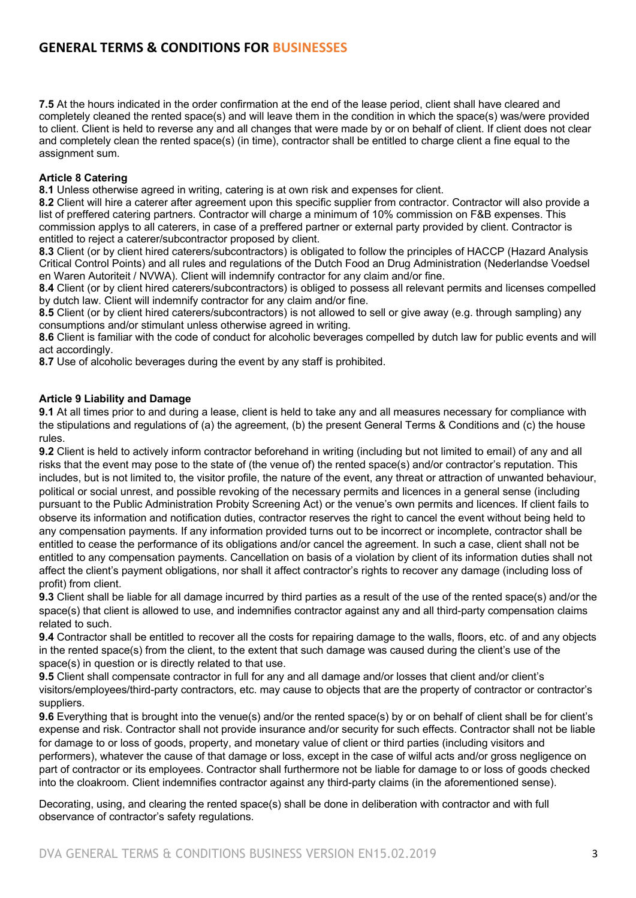**7.5** At the hours indicated in the order confirmation at the end of the lease period, client shall have cleared and completely cleaned the rented space(s) and will leave them in the condition in which the space(s) was/were provided to client. Client is held to reverse any and all changes that were made by or on behalf of client. If client does not clear and completely clean the rented space(s) (in time), contractor shall be entitled to charge client a fine equal to the assignment sum.

# **Article 8 Catering**

**8.1** Unless otherwise agreed in writing, catering is at own risk and expenses for client.

**8.2** Client will hire a caterer after agreement upon this specific supplier from contractor. Contractor will also provide a list of preffered catering partners. Contractor will charge a minimum of 10% commission on F&B expenses. This commission applys to all caterers, in case of a preffered partner or external party provided by client. Contractor is entitled to reject a caterer/subcontractor proposed by client.

**8.3** Client (or by client hired caterers/subcontractors) is obligated to follow the principles of HACCP (Hazard Analysis Critical Control Points) and all rules and regulations of the Dutch Food an Drug Administration (Nederlandse Voedsel en Waren Autoriteit / NVWA). Client will indemnify contractor for any claim and/or fine.

**8.4** Client (or by client hired caterers/subcontractors) is obliged to possess all relevant permits and licenses compelled by dutch law. Client will indemnify contractor for any claim and/or fine.

**8.5** Client (or by client hired caterers/subcontractors) is not allowed to sell or give away (e.g. through sampling) any consumptions and/or stimulant unless otherwise agreed in writing.

**8.6** Client is familiar with the code of conduct for alcoholic beverages compelled by dutch law for public events and will act accordingly.

**8.7** Use of alcoholic beverages during the event by any staff is prohibited.

# **Article 9 Liability and Damage**

**9.1** At all times prior to and during a lease, client is held to take any and all measures necessary for compliance with the stipulations and regulations of (a) the agreement, (b) the present General Terms & Conditions and (c) the house rules.

**9.2** Client is held to actively inform contractor beforehand in writing (including but not limited to email) of any and all risks that the event may pose to the state of (the venue of) the rented space(s) and/or contractor's reputation. This includes, but is not limited to, the visitor profile, the nature of the event, any threat or attraction of unwanted behaviour, political or social unrest, and possible revoking of the necessary permits and licences in a general sense (including pursuant to the Public Administration Probity Screening Act) or the venue's own permits and licences. If client fails to observe its information and notification duties, contractor reserves the right to cancel the event without being held to any compensation payments. If any information provided turns out to be incorrect or incomplete, contractor shall be entitled to cease the performance of its obligations and/or cancel the agreement. In such a case, client shall not be entitled to any compensation payments. Cancellation on basis of a violation by client of its information duties shall not affect the client's payment obligations, nor shall it affect contractor's rights to recover any damage (including loss of profit) from client.

**9.3** Client shall be liable for all damage incurred by third parties as a result of the use of the rented space(s) and/or the space(s) that client is allowed to use, and indemnifies contractor against any and all third-party compensation claims related to such.

**9.4** Contractor shall be entitled to recover all the costs for repairing damage to the walls, floors, etc. of and any objects in the rented space(s) from the client, to the extent that such damage was caused during the client's use of the space(s) in question or is directly related to that use.

**9.5** Client shall compensate contractor in full for any and all damage and/or losses that client and/or client's visitors/employees/third-party contractors, etc. may cause to objects that are the property of contractor or contractor's suppliers.

**9.6** Everything that is brought into the venue(s) and/or the rented space(s) by or on behalf of client shall be for client's expense and risk. Contractor shall not provide insurance and/or security for such effects. Contractor shall not be liable for damage to or loss of goods, property, and monetary value of client or third parties (including visitors and performers), whatever the cause of that damage or loss, except in the case of wilful acts and/or gross negligence on part of contractor or its employees. Contractor shall furthermore not be liable for damage to or loss of goods checked into the cloakroom. Client indemnifies contractor against any third-party claims (in the aforementioned sense).

Decorating, using, and clearing the rented space(s) shall be done in deliberation with contractor and with full observance of contractor's safety regulations.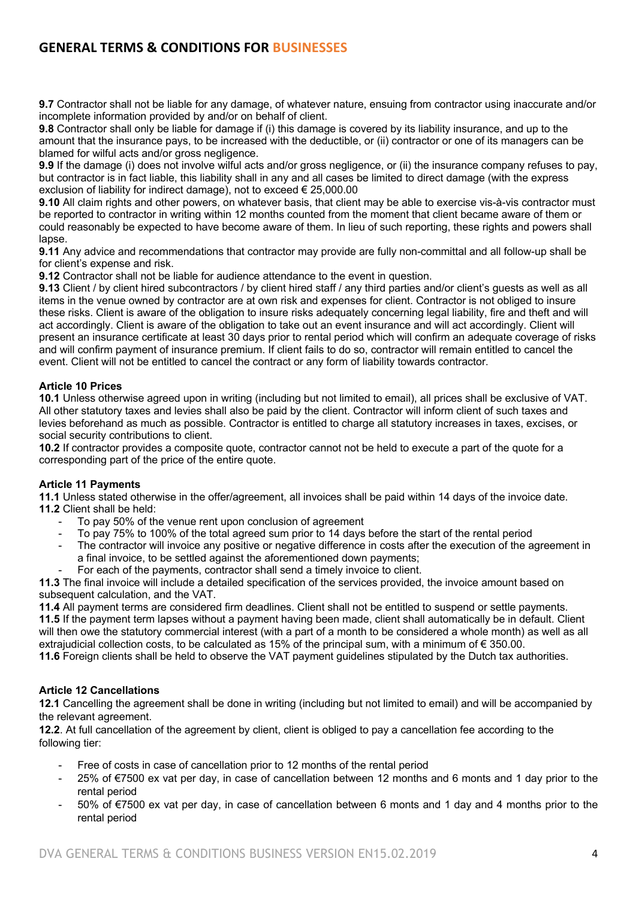# **GENERAL TERMS & CONDITIONS FOR BUSINESSES**

**9.7** Contractor shall not be liable for any damage, of whatever nature, ensuing from contractor using inaccurate and/or incomplete information provided by and/or on behalf of client.

**9.8** Contractor shall only be liable for damage if (i) this damage is covered by its liability insurance, and up to the amount that the insurance pays, to be increased with the deductible, or (ii) contractor or one of its managers can be blamed for wilful acts and/or gross negligence.

**9.9** If the damage (i) does not involve wilful acts and/or gross negligence, or (ii) the insurance company refuses to pay, but contractor is in fact liable, this liability shall in any and all cases be limited to direct damage (with the express exclusion of liability for indirect damage), not to exceed € 25,000.00

**9.10** All claim rights and other powers, on whatever basis, that client may be able to exercise vis-à-vis contractor must be reported to contractor in writing within 12 months counted from the moment that client became aware of them or could reasonably be expected to have become aware of them. In lieu of such reporting, these rights and powers shall lapse

**9.11** Any advice and recommendations that contractor may provide are fully non-committal and all follow-up shall be for client's expense and risk.

**9.12** Contractor shall not be liable for audience attendance to the event in question.

**9.13** Client / by client hired subcontractors / by client hired staff / any third parties and/or client's guests as well as all items in the venue owned by contractor are at own risk and expenses for client. Contractor is not obliged to insure these risks. Client is aware of the obligation to insure risks adequately concerning legal liability, fire and theft and will act accordingly. Client is aware of the obligation to take out an event insurance and will act accordingly. Client will present an insurance certificate at least 30 days prior to rental period which will confirm an adequate coverage of risks and will confirm payment of insurance premium. If client fails to do so, contractor will remain entitled to cancel the event. Client will not be entitled to cancel the contract or any form of liability towards contractor.

# **Article 10 Prices**

**10.1** Unless otherwise agreed upon in writing (including but not limited to email), all prices shall be exclusive of VAT. All other statutory taxes and levies shall also be paid by the client. Contractor will inform client of such taxes and levies beforehand as much as possible. Contractor is entitled to charge all statutory increases in taxes, excises, or social security contributions to client.

**10.2** If contractor provides a composite quote, contractor cannot not be held to execute a part of the quote for a corresponding part of the price of the entire quote.

### **Article 11 Payments**

**11.1** Unless stated otherwise in the offer/agreement, all invoices shall be paid within 14 days of the invoice date. **11.2** Client shall be held:

- To pay 50% of the venue rent upon conclusion of agreement
- To pay 75% to 100% of the total agreed sum prior to 14 days before the start of the rental period
- The contractor will invoice any positive or negative difference in costs after the execution of the agreement in a final invoice, to be settled against the aforementioned down payments;
- For each of the payments, contractor shall send a timely invoice to client.

**11.3** The final invoice will include a detailed specification of the services provided, the invoice amount based on subsequent calculation, and the VAT.

**11.4** All payment terms are considered firm deadlines. Client shall not be entitled to suspend or settle payments.

**11.5** If the payment term lapses without a payment having been made, client shall automatically be in default. Client will then owe the statutory commercial interest (with a part of a month to be considered a whole month) as well as all extrajudicial collection costs, to be calculated as 15% of the principal sum, with a minimum of € 350.00.

**11.6** Foreign clients shall be held to observe the VAT payment guidelines stipulated by the Dutch tax authorities.

### **Article 12 Cancellations**

**12.1** Cancelling the agreement shall be done in writing (including but not limited to email) and will be accompanied by the relevant agreement.

**12.2**. At full cancellation of the agreement by client, client is obliged to pay a cancellation fee according to the following tier:

- Free of costs in case of cancellation prior to 12 months of the rental period
- 25% of €7500 ex vat per day, in case of cancellation between 12 months and 6 monts and 1 day prior to the rental period
- 50% of €7500 ex vat per day, in case of cancellation between 6 monts and 1 day and 4 months prior to the rental period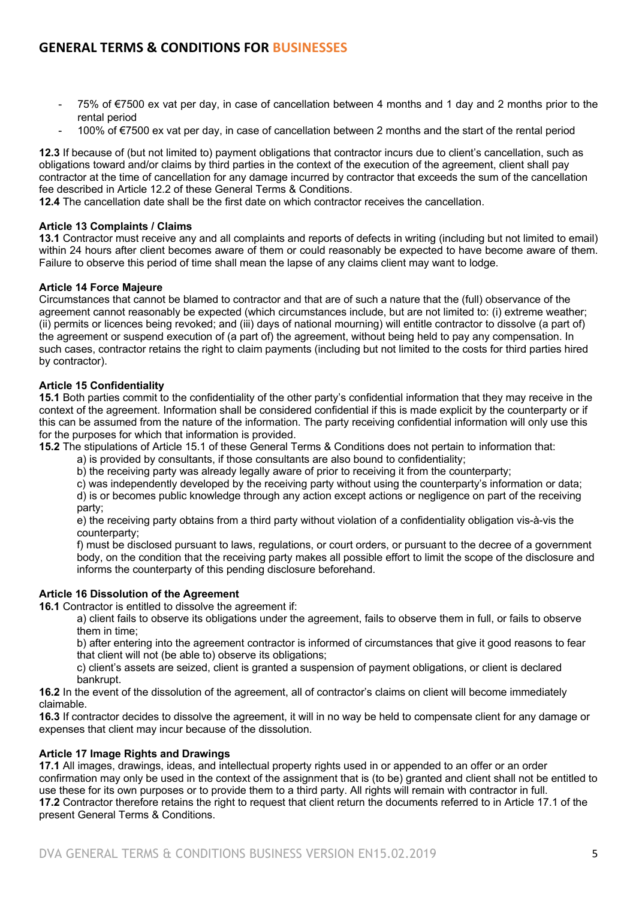- 75% of €7500 ex vat per day, in case of cancellation between 4 months and 1 day and 2 months prior to the rental period
- 100% of €7500 ex vat per day, in case of cancellation between 2 months and the start of the rental period

**12.3** If because of (but not limited to) payment obligations that contractor incurs due to client's cancellation, such as obligations toward and/or claims by third parties in the context of the execution of the agreement, client shall pay contractor at the time of cancellation for any damage incurred by contractor that exceeds the sum of the cancellation fee described in Article 12.2 of these General Terms & Conditions.

**12.4** The cancellation date shall be the first date on which contractor receives the cancellation.

### **Article 13 Complaints / Claims**

**13.1** Contractor must receive any and all complaints and reports of defects in writing (including but not limited to email) within 24 hours after client becomes aware of them or could reasonably be expected to have become aware of them. Failure to observe this period of time shall mean the lapse of any claims client may want to lodge.

### **Article 14 Force Majeure**

Circumstances that cannot be blamed to contractor and that are of such a nature that the (full) observance of the agreement cannot reasonably be expected (which circumstances include, but are not limited to: (i) extreme weather; (ii) permits or licences being revoked; and (iii) days of national mourning) will entitle contractor to dissolve (a part of) the agreement or suspend execution of (a part of) the agreement, without being held to pay any compensation. In such cases, contractor retains the right to claim payments (including but not limited to the costs for third parties hired by contractor).

#### **Article 15 Confidentiality**

**15.1** Both parties commit to the confidentiality of the other party's confidential information that they may receive in the context of the agreement. Information shall be considered confidential if this is made explicit by the counterparty or if this can be assumed from the nature of the information. The party receiving confidential information will only use this for the purposes for which that information is provided.

**15.2** The stipulations of Article 15.1 of these General Terms & Conditions does not pertain to information that:

- a) is provided by consultants, if those consultants are also bound to confidentiality;
- b) the receiving party was already legally aware of prior to receiving it from the counterparty;

c) was independently developed by the receiving party without using the counterparty's information or data; d) is or becomes public knowledge through any action except actions or negligence on part of the receiving party;

e) the receiving party obtains from a third party without violation of a confidentiality obligation vis-à-vis the counterparty;

f) must be disclosed pursuant to laws, regulations, or court orders, or pursuant to the decree of a government body, on the condition that the receiving party makes all possible effort to limit the scope of the disclosure and informs the counterparty of this pending disclosure beforehand.

### **Article 16 Dissolution of the Agreement**

**16.1** Contractor is entitled to dissolve the agreement if:

a) client fails to observe its obligations under the agreement, fails to observe them in full, or fails to observe them in time;

b) after entering into the agreement contractor is informed of circumstances that give it good reasons to fear that client will not (be able to) observe its obligations;

c) client's assets are seized, client is granted a suspension of payment obligations, or client is declared bankrupt.

**16.2** In the event of the dissolution of the agreement, all of contractor's claims on client will become immediately claimable.

**16.3** If contractor decides to dissolve the agreement, it will in no way be held to compensate client for any damage or expenses that client may incur because of the dissolution.

### **Article 17 Image Rights and Drawings**

**17.1** All images, drawings, ideas, and intellectual property rights used in or appended to an offer or an order confirmation may only be used in the context of the assignment that is (to be) granted and client shall not be entitled to use these for its own purposes or to provide them to a third party. All rights will remain with contractor in full. **17.2** Contractor therefore retains the right to request that client return the documents referred to in Article 17.1 of the present General Terms & Conditions.